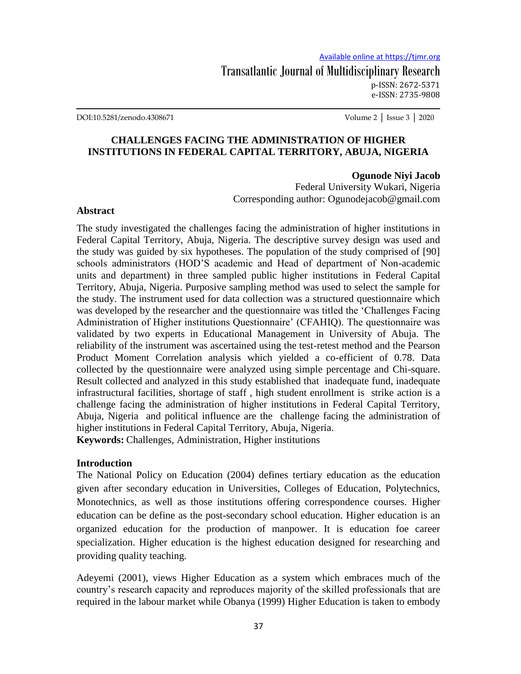DOI:10.5281/zenodo.4308671 Volume 2 │ Issue 3 │ 2020

# **CHALLENGES FACING THE ADMINISTRATION OF HIGHER INSTITUTIONS IN FEDERAL CAPITAL TERRITORY, ABUJA, NIGERIA**

#### **Ogunode Niyi Jacob**

Federal University Wukari, Nigeria Corresponding author: Ogunodejacob@gmail.com

#### **Abstract**

The study investigated the challenges facing the administration of higher institutions in Federal Capital Territory, Abuja, Nigeria. The descriptive survey design was used and the study was guided by six hypotheses. The population of the study comprised of [90] schools administrators (HOD"S academic and Head of department of Non-academic units and department) in three sampled public higher institutions in Federal Capital Territory, Abuja, Nigeria. Purposive sampling method was used to select the sample for the study. The instrument used for data collection was a structured questionnaire which was developed by the researcher and the questionnaire was titled the "Challenges Facing Administration of Higher institutions Questionnaire" (CFAHIQ). The questionnaire was validated by two experts in Educational Management in University of Abuja. The reliability of the instrument was ascertained using the test-retest method and the Pearson Product Moment Correlation analysis which yielded a co-efficient of 0.78. Data collected by the questionnaire were analyzed using simple percentage and Chi-square. Result collected and analyzed in this study established that inadequate fund, inadequate infrastructural facilities, shortage of staff , high student enrollment is strike action is a challenge facing the administration of higher institutions in Federal Capital Territory, Abuja, Nigeria and political influence are the challenge facing the administration of higher institutions in Federal Capital Territory, Abuja, Nigeria.

**Keywords:** Challenges, Administration, Higher institutions

#### **Introduction**

The National Policy on Education (2004) defines tertiary education as the education given after secondary education in Universities, Colleges of Education, Polytechnics, Monotechnics, as well as those institutions offering correspondence courses. Higher education can be define as the post-secondary school education. Higher education is an organized education for the production of manpower. It is education foe career specialization. Higher education is the highest education designed for researching and providing quality teaching.

Adeyemi (2001), views Higher Education as a system which embraces much of the country"s research capacity and reproduces majority of the skilled professionals that are required in the labour market while Obanya (1999) Higher Education is taken to embody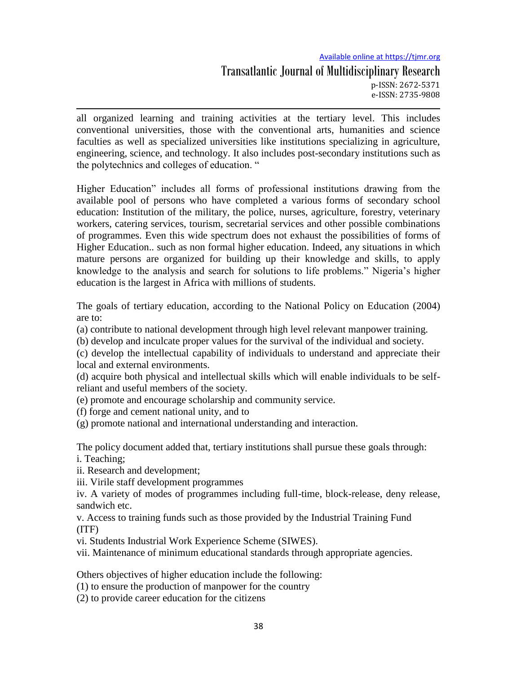# Available online at https://tjmr.org

## Transatlantic Journal of Multidisciplinary Research p-ISSN: 2672-5371 e-ISSN: 2735-9808

all organized learning and training activities at the tertiary level. This includes conventional universities, those with the conventional arts, humanities and science faculties as well as specialized universities like institutions specializing in agriculture, engineering, science, and technology. It also includes post-secondary institutions such as the polytechnics and colleges of education. "

Higher Education" includes all forms of professional institutions drawing from the available pool of persons who have completed a various forms of secondary school education: Institution of the military, the police, nurses, agriculture, forestry, veterinary workers, catering services, tourism, secretarial services and other possible combinations of programmes. Even this wide spectrum does not exhaust the possibilities of forms of Higher Education.. such as non formal higher education. Indeed, any situations in which mature persons are organized for building up their knowledge and skills, to apply knowledge to the analysis and search for solutions to life problems." Nigeria"s higher education is the largest in Africa with millions of students.

The goals of tertiary education, according to the National Policy on Education (2004) are to:

(a) contribute to national development through high level relevant manpower training.

(b) develop and inculcate proper values for the survival of the individual and society.

(c) develop the intellectual capability of individuals to understand and appreciate their local and external environments.

(d) acquire both physical and intellectual skills which will enable individuals to be selfreliant and useful members of the society.

(e) promote and encourage scholarship and community service.

(f) forge and cement national unity, and to

(g) promote national and international understanding and interaction.

The policy document added that, tertiary institutions shall pursue these goals through: i. Teaching;

ii. Research and development;

iii. Virile staff development programmes

iv. A variety of modes of programmes including full-time, block-release, deny release, sandwich etc.

v. Access to training funds such as those provided by the Industrial Training Fund (ITF)

vi. Students Industrial Work Experience Scheme (SIWES).

vii. Maintenance of minimum educational standards through appropriate agencies.

Others objectives of higher education include the following:

(1) to ensure the production of manpower for the country

(2) to provide career education for the citizens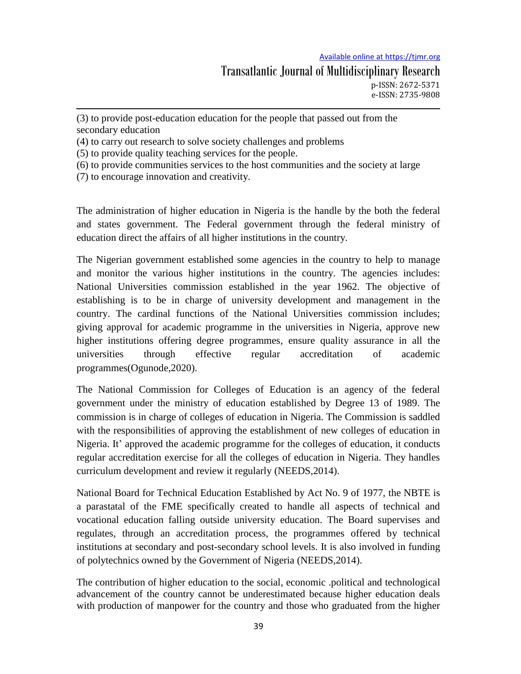(3) to provide post-education education for the people that passed out from the secondary education

(4) to carry out research to solve society challenges and problems

(5) to provide quality teaching services for the people.

(6) to provide communities services to the host communities and the society at large

(7) to encourage innovation and creativity.

The administration of higher education in Nigeria is the handle by the both the federal and states government. The Federal government through the federal ministry of education direct the affairs of all higher institutions in the country.

The Nigerian government established some agencies in the country to help to manage and monitor the various higher institutions in the country. The agencies includes: National Universities commission established in the year 1962. The objective of establishing is to be in charge of university development and management in the country. The cardinal functions of the National Universities commission includes; giving approval for academic programme in the universities in Nigeria, approve new higher institutions offering degree programmes, ensure quality assurance in all the universities through effective regular accreditation of academic programmes(Ogunode,2020).

The National Commission for Colleges of Education is an agency of the federal government under the ministry of education established by Degree 13 of 1989. The commission is in charge of colleges of education in Nigeria. The Commission is saddled with the responsibilities of approving the establishment of new colleges of education in Nigeria. It' approved the academic programme for the colleges of education, it conducts regular accreditation exercise for all the colleges of education in Nigeria. They handles curriculum development and review it regularly (NEEDS,2014).

National Board for Technical Education Established by Act No. 9 of 1977, the NBTE is a parastatal of the FME specifically created to handle all aspects of technical and vocational education falling outside university education. The Board supervises and regulates, through an accreditation process, the programmes offered by technical institutions at secondary and post-secondary school levels. It is also involved in funding of polytechnics owned by the Government of Nigeria (NEEDS,2014).

The contribution of higher education to the social, economic .political and technological advancement of the country cannot be underestimated because higher education deals with production of manpower for the country and those who graduated from the higher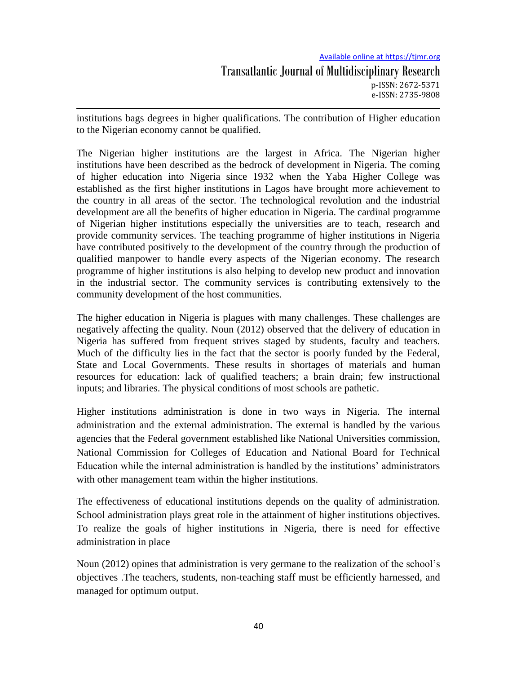#### Available online at https://tjmr.org

institutions bags degrees in higher qualifications. The contribution of Higher education to the Nigerian economy cannot be qualified.

The Nigerian higher institutions are the largest in Africa. The Nigerian higher institutions have been described as the bedrock of development in Nigeria. The coming of higher education into Nigeria since 1932 when the Yaba Higher College was established as the first higher institutions in Lagos have brought more achievement to the country in all areas of the sector. The technological revolution and the industrial development are all the benefits of higher education in Nigeria. The cardinal programme of Nigerian higher institutions especially the universities are to teach, research and provide community services. The teaching programme of higher institutions in Nigeria have contributed positively to the development of the country through the production of qualified manpower to handle every aspects of the Nigerian economy. The research programme of higher institutions is also helping to develop new product and innovation in the industrial sector. The community services is contributing extensively to the community development of the host communities.

The higher education in Nigeria is plagues with many challenges. These challenges are negatively affecting the quality. Noun (2012) observed that the delivery of education in Nigeria has suffered from frequent strives staged by students, faculty and teachers. Much of the difficulty lies in the fact that the sector is poorly funded by the Federal, State and Local Governments. These results in shortages of materials and human resources for education: lack of qualified teachers; a brain drain; few instructional inputs; and libraries. The physical conditions of most schools are pathetic.

Higher institutions administration is done in two ways in Nigeria. The internal administration and the external administration. The external is handled by the various agencies that the Federal government established like National Universities commission, National Commission for Colleges of Education and National Board for Technical Education while the internal administration is handled by the institutions" administrators with other management team within the higher institutions.

The effectiveness of educational institutions depends on the quality of administration. School administration plays great role in the attainment of higher institutions objectives. To realize the goals of higher institutions in Nigeria, there is need for effective administration in place

Noun (2012) opines that administration is very germane to the realization of the school"s objectives .The teachers, students, non-teaching staff must be efficiently harnessed, and managed for optimum output.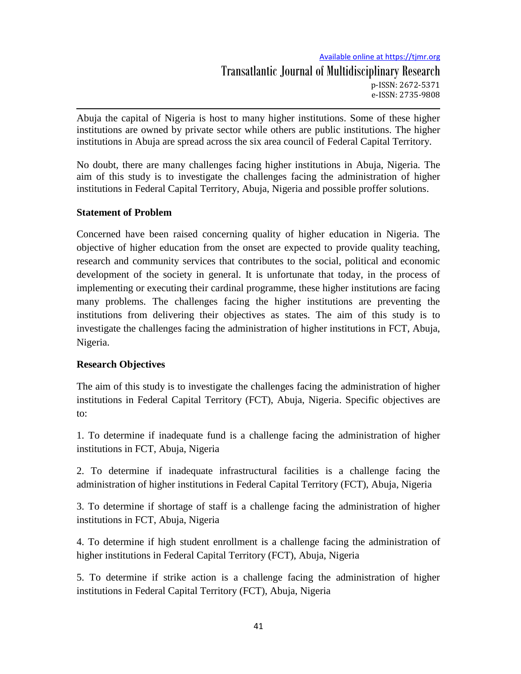Abuja the capital of Nigeria is host to many higher institutions. Some of these higher institutions are owned by private sector while others are public institutions. The higher institutions in Abuja are spread across the six area council of Federal Capital Territory.

No doubt, there are many challenges facing higher institutions in Abuja, Nigeria. The aim of this study is to investigate the challenges facing the administration of higher institutions in Federal Capital Territory, Abuja, Nigeria and possible proffer solutions.

## **Statement of Problem**

Concerned have been raised concerning quality of higher education in Nigeria. The objective of higher education from the onset are expected to provide quality teaching, research and community services that contributes to the social, political and economic development of the society in general. It is unfortunate that today, in the process of implementing or executing their cardinal programme, these higher institutions are facing many problems. The challenges facing the higher institutions are preventing the institutions from delivering their objectives as states. The aim of this study is to investigate the challenges facing the administration of higher institutions in FCT, Abuja, Nigeria.

## **Research Objectives**

The aim of this study is to investigate the challenges facing the administration of higher institutions in Federal Capital Territory (FCT), Abuja, Nigeria. Specific objectives are to:

1. To determine if inadequate fund is a challenge facing the administration of higher institutions in FCT, Abuja, Nigeria

2. To determine if inadequate infrastructural facilities is a challenge facing the administration of higher institutions in Federal Capital Territory (FCT), Abuja, Nigeria

3. To determine if shortage of staff is a challenge facing the administration of higher institutions in FCT, Abuja, Nigeria

4. To determine if high student enrollment is a challenge facing the administration of higher institutions in Federal Capital Territory (FCT), Abuja, Nigeria

5. To determine if strike action is a challenge facing the administration of higher institutions in Federal Capital Territory (FCT), Abuja, Nigeria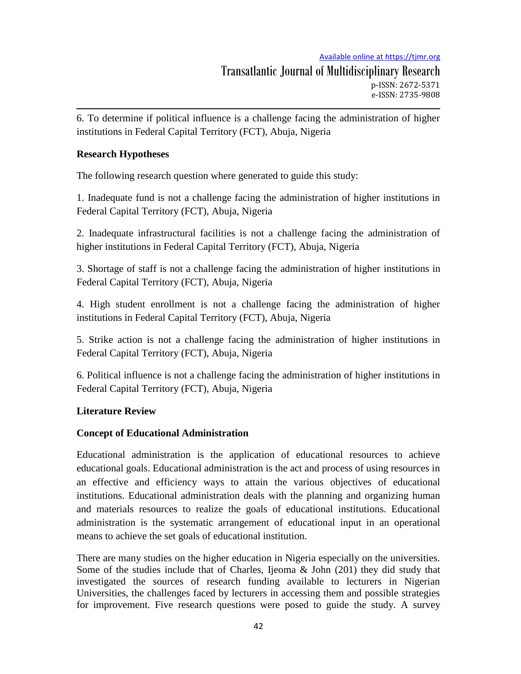6. To determine if political influence is a challenge facing the administration of higher institutions in Federal Capital Territory (FCT), Abuja, Nigeria

# **Research Hypotheses**

The following research question where generated to guide this study:

1. Inadequate fund is not a challenge facing the administration of higher institutions in Federal Capital Territory (FCT), Abuja, Nigeria

2. Inadequate infrastructural facilities is not a challenge facing the administration of higher institutions in Federal Capital Territory (FCT), Abuja, Nigeria

3. Shortage of staff is not a challenge facing the administration of higher institutions in Federal Capital Territory (FCT), Abuja, Nigeria

4. High student enrollment is not a challenge facing the administration of higher institutions in Federal Capital Territory (FCT), Abuja, Nigeria

5. Strike action is not a challenge facing the administration of higher institutions in Federal Capital Territory (FCT), Abuja, Nigeria

6. Political influence is not a challenge facing the administration of higher institutions in Federal Capital Territory (FCT), Abuja, Nigeria

# **Literature Review**

# **Concept of Educational Administration**

Educational administration is the application of educational resources to achieve educational goals. Educational administration is the act and process of using resources in an effective and efficiency ways to attain the various objectives of educational institutions. Educational administration deals with the planning and organizing human and materials resources to realize the goals of educational institutions. Educational administration is the systematic arrangement of educational input in an operational means to achieve the set goals of educational institution.

There are many studies on the higher education in Nigeria especially on the universities. Some of the studies include that of Charles, Ijeoma & John (201) they did study that investigated the sources of research funding available to lecturers in Nigerian Universities, the challenges faced by lecturers in accessing them and possible strategies for improvement. Five research questions were posed to guide the study. A survey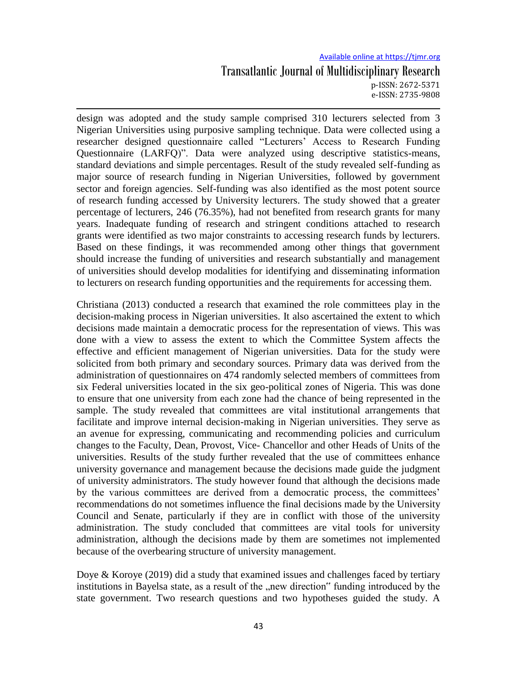design was adopted and the study sample comprised 310 lecturers selected from 3 Nigerian Universities using purposive sampling technique. Data were collected using a researcher designed questionnaire called "Lecturers" Access to Research Funding Questionnaire (LARFQ)". Data were analyzed using descriptive statistics-means, standard deviations and simple percentages. Result of the study revealed self-funding as major source of research funding in Nigerian Universities, followed by government sector and foreign agencies. Self-funding was also identified as the most potent source of research funding accessed by University lecturers. The study showed that a greater percentage of lecturers, 246 (76.35%), had not benefited from research grants for many years. Inadequate funding of research and stringent conditions attached to research grants were identified as two major constraints to accessing research funds by lecturers. Based on these findings, it was recommended among other things that government should increase the funding of universities and research substantially and management of universities should develop modalities for identifying and disseminating information to lecturers on research funding opportunities and the requirements for accessing them.

Christiana (2013) conducted a research that examined the role committees play in the decision-making process in Nigerian universities. It also ascertained the extent to which decisions made maintain a democratic process for the representation of views. This was done with a view to assess the extent to which the Committee System affects the effective and efficient management of Nigerian universities. Data for the study were solicited from both primary and secondary sources. Primary data was derived from the administration of questionnaires on 474 randomly selected members of committees from six Federal universities located in the six geo-political zones of Nigeria. This was done to ensure that one university from each zone had the chance of being represented in the sample. The study revealed that committees are vital institutional arrangements that facilitate and improve internal decision-making in Nigerian universities. They serve as an avenue for expressing, communicating and recommending policies and curriculum changes to the Faculty, Dean, Provost, Vice- Chancellor and other Heads of Units of the universities. Results of the study further revealed that the use of committees enhance university governance and management because the decisions made guide the judgment of university administrators. The study however found that although the decisions made by the various committees are derived from a democratic process, the committees" recommendations do not sometimes influence the final decisions made by the University Council and Senate, particularly if they are in conflict with those of the university administration. The study concluded that committees are vital tools for university administration, although the decisions made by them are sometimes not implemented because of the overbearing structure of university management.

Doye & Koroye (2019) did a study that examined issues and challenges faced by tertiary institutions in Bayelsa state, as a result of the "new direction" funding introduced by the state government. Two research questions and two hypotheses guided the study. A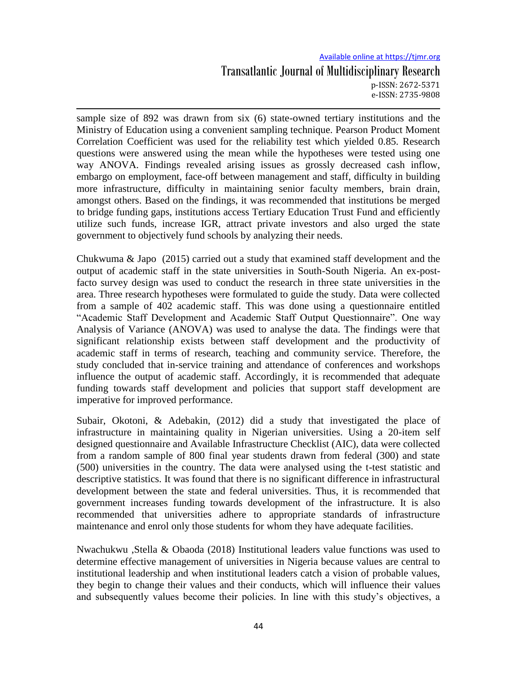sample size of 892 was drawn from six (6) state-owned tertiary institutions and the Ministry of Education using a convenient sampling technique. Pearson Product Moment Correlation Coefficient was used for the reliability test which yielded 0.85. Research questions were answered using the mean while the hypotheses were tested using one way ANOVA. Findings revealed arising issues as grossly decreased cash inflow, embargo on employment, face-off between management and staff, difficulty in building more infrastructure, difficulty in maintaining senior faculty members, brain drain, amongst others. Based on the findings, it was recommended that institutions be merged to bridge funding gaps, institutions access Tertiary Education Trust Fund and efficiently utilize such funds, increase IGR, attract private investors and also urged the state government to objectively fund schools by analyzing their needs.

Chukwuma & Japo (2015) carried out a study that examined staff development and the output of academic staff in the state universities in South-South Nigeria. An ex-postfacto survey design was used to conduct the research in three state universities in the area. Three research hypotheses were formulated to guide the study. Data were collected from a sample of 402 academic staff. This was done using a questionnaire entitled "Academic Staff Development and Academic Staff Output Questionnaire". One way Analysis of Variance (ANOVA) was used to analyse the data. The findings were that significant relationship exists between staff development and the productivity of academic staff in terms of research, teaching and community service. Therefore, the study concluded that in-service training and attendance of conferences and workshops influence the output of academic staff. Accordingly, it is recommended that adequate funding towards staff development and policies that support staff development are imperative for improved performance.

Subair, Okotoni, & Adebakin, (2012) did a study that investigated the place of infrastructure in maintaining quality in Nigerian universities. Using a 20-item self designed questionnaire and Available Infrastructure Checklist (AIC), data were collected from a random sample of 800 final year students drawn from federal (300) and state (500) universities in the country. The data were analysed using the t-test statistic and descriptive statistics. It was found that there is no significant difference in infrastructural development between the state and federal universities. Thus, it is recommended that government increases funding towards development of the infrastructure. It is also recommended that universities adhere to appropriate standards of infrastructure maintenance and enrol only those students for whom they have adequate facilities.

Nwachukwu ,Stella & Obaoda (2018) Institutional leaders value functions was used to determine effective management of universities in Nigeria because values are central to institutional leadership and when institutional leaders catch a vision of probable values, they begin to change their values and their conducts, which will influence their values and subsequently values become their policies. In line with this study"s objectives, a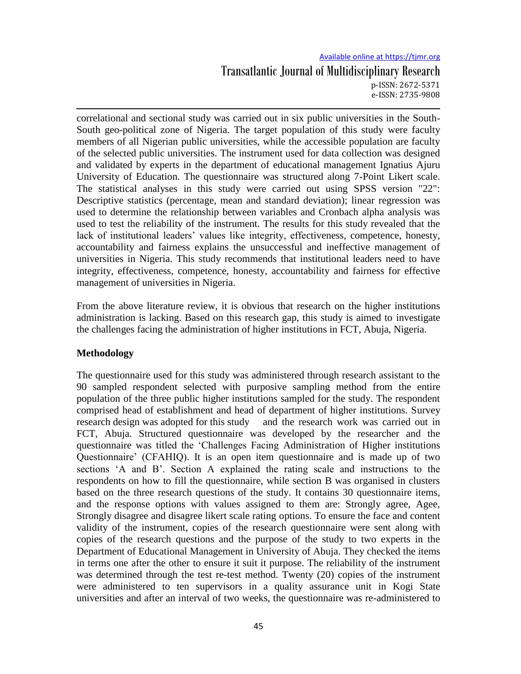correlational and sectional study was carried out in six public universities in the South-South geo-political zone of Nigeria. The target population of this study were faculty members of all Nigerian public universities, while the accessible population are faculty of the selected public universities. The instrument used for data collection was designed and validated by experts in the department of educational management Ignatius Ajuru University of Education. The questionnaire was structured along 7-Point Likert scale. The statistical analyses in this study were carried out using SPSS version "22": Descriptive statistics (percentage, mean and standard deviation); linear regression was used to determine the relationship between variables and Cronbach alpha analysis was used to test the reliability of the instrument. The results for this study revealed that the lack of institutional leaders' values like integrity, effectiveness, competence, honesty, accountability and fairness explains the unsuccessful and ineffective management of universities in Nigeria. This study recommends that institutional leaders need to have integrity, effectiveness, competence, honesty, accountability and fairness for effective management of universities in Nigeria.

From the above literature review, it is obvious that research on the higher institutions administration is lacking. Based on this research gap, this study is aimed to investigate the challenges facing the administration of higher institutions in FCT, Abuja, Nigeria.

## **Methodology**

The questionnaire used for this study was administered through research assistant to the 90 sampled respondent selected with purposive sampling method from the entire population of the three public higher institutions sampled for the study. The respondent comprised head of establishment and head of department of higher institutions. Survey research design was adopted for this study and the research work was carried out in FCT, Abuja. Structured questionnaire was developed by the researcher and the questionnaire was titled the "Challenges Facing Administration of Higher institutions Questionnaire" (CFAHIQ). It is an open item questionnaire and is made up of two sections 'A and B'. Section A explained the rating scale and instructions to the respondents on how to fill the questionnaire, while section B was organised in clusters based on the three research questions of the study. It contains 30 questionnaire items, and the response options with values assigned to them are: Strongly agree, Agee, Strongly disagree and disagree likert scale rating options. To ensure the face and content validity of the instrument, copies of the research questionnaire were sent along with copies of the research questions and the purpose of the study to two experts in the Department of Educational Management in University of Abuja. They checked the items in terms one after the other to ensure it suit it purpose. The reliability of the instrument was determined through the test re-test method. Twenty (20) copies of the instrument were administered to ten supervisors in a quality assurance unit in Kogi State universities and after an interval of two weeks, the questionnaire was re-administered to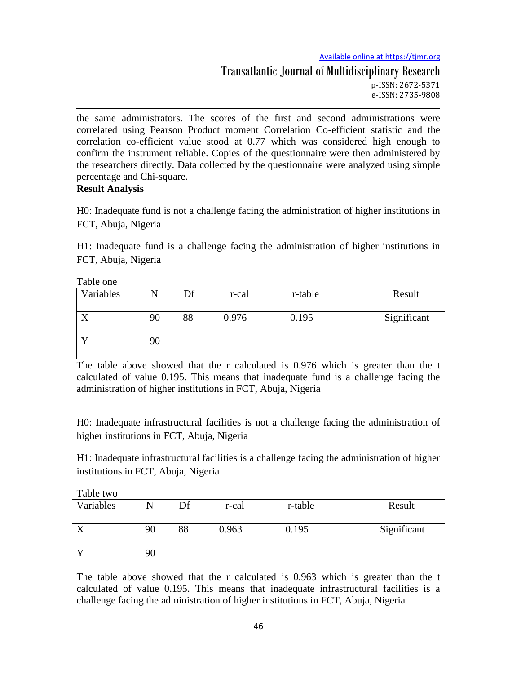the same administrators. The scores of the first and second administrations were correlated using Pearson Product moment Correlation Co-efficient statistic and the correlation co-efficient value stood at 0.77 which was considered high enough to confirm the instrument reliable. Copies of the questionnaire were then administered by the researchers directly. Data collected by the questionnaire were analyzed using simple percentage and Chi-square.

# **Result Analysis**

H0: Inadequate fund is not a challenge facing the administration of higher institutions in FCT, Abuja, Nigeria

H1: Inadequate fund is a challenge facing the administration of higher institutions in FCT, Abuja, Nigeria

| Table one |    |    |       |         |             |  |  |
|-----------|----|----|-------|---------|-------------|--|--|
| Variables | N  | Df | r-cal | r-table | Result      |  |  |
|           | 90 | 88 | 0.976 | 0.195   | Significant |  |  |
|           | 90 |    |       |         |             |  |  |

The table above showed that the r calculated is 0.976 which is greater than the t calculated of value 0.195. This means that inadequate fund is a challenge facing the administration of higher institutions in FCT, Abuja, Nigeria

H0: Inadequate infrastructural facilities is not a challenge facing the administration of higher institutions in FCT, Abuja, Nigeria

H1: Inadequate infrastructural facilities is a challenge facing the administration of higher institutions in FCT, Abuja, Nigeria

| Table two        |    |    |       |         |             |
|------------------|----|----|-------|---------|-------------|
| Variables        | N  | Df | r-cal | r-table | Result      |
|                  |    |    |       |         |             |
| $\boldsymbol{X}$ | 90 | 88 | 0.963 | 0.195   | Significant |
|                  |    |    |       |         |             |
|                  | 90 |    |       |         |             |
|                  |    |    |       |         |             |

The table above showed that the r calculated is 0.963 which is greater than the t calculated of value 0.195. This means that inadequate infrastructural facilities is a challenge facing the administration of higher institutions in FCT, Abuja, Nigeria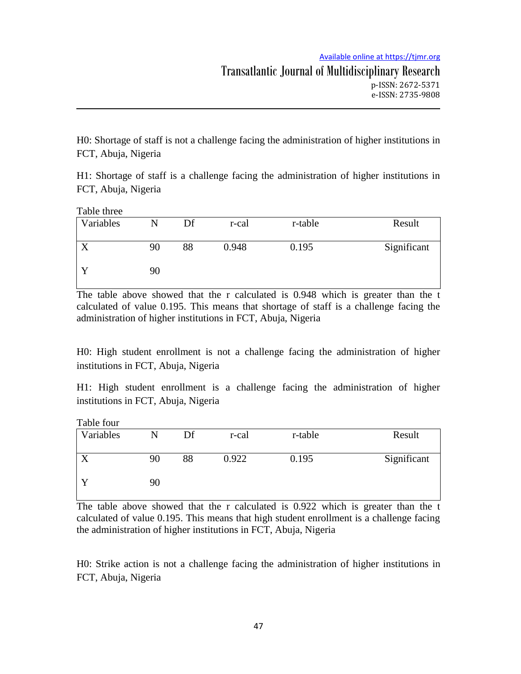H0: Shortage of staff is not a challenge facing the administration of higher institutions in FCT, Abuja, Nigeria

H1: Shortage of staff is a challenge facing the administration of higher institutions in FCT, Abuja, Nigeria

| Table three |    |    |       |         |             |  |  |
|-------------|----|----|-------|---------|-------------|--|--|
| Variables   | N  | Df | r-cal | r-table | Result      |  |  |
|             | 90 | 88 | 0.948 | 0.195   | Significant |  |  |
|             | 90 |    |       |         |             |  |  |

The table above showed that the r calculated is 0.948 which is greater than the t calculated of value 0.195. This means that shortage of staff is a challenge facing the administration of higher institutions in FCT, Abuja, Nigeria

H0: High student enrollment is not a challenge facing the administration of higher institutions in FCT, Abuja, Nigeria

H1: High student enrollment is a challenge facing the administration of higher institutions in FCT, Abuja, Nigeria

| Table four |  |
|------------|--|
|------------|--|

| Variables |    | Df | r-cal | r-table | Result      |
|-----------|----|----|-------|---------|-------------|
|           | 90 | 88 | 0.922 | 0.195   | Significant |
|           | 90 |    |       |         |             |

The table above showed that the r calculated is 0.922 which is greater than the t calculated of value 0.195. This means that high student enrollment is a challenge facing the administration of higher institutions in FCT, Abuja, Nigeria

H0: Strike action is not a challenge facing the administration of higher institutions in FCT, Abuja, Nigeria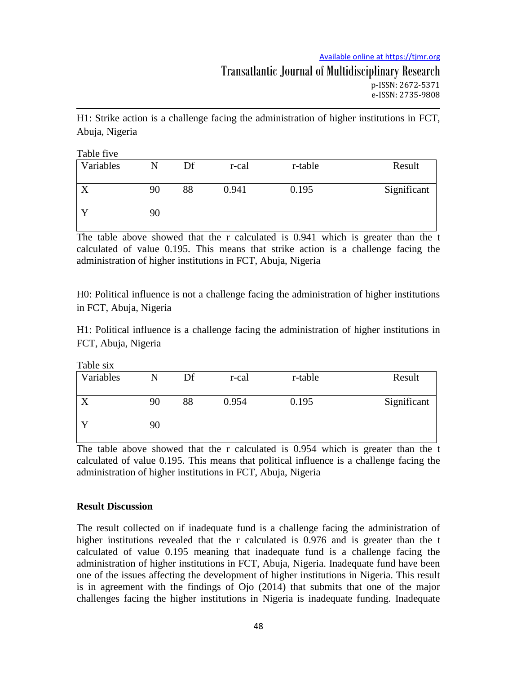#### Available online at https://tjmr.org

H1: Strike action is a challenge facing the administration of higher institutions in FCT, Abuja, Nigeria

Table five

| Variables | N  | Df | r-cal | r-table | Result      |
|-----------|----|----|-------|---------|-------------|
|           | 90 | 88 | 0.941 | 0.195   | Significant |
|           | 90 |    |       |         |             |

The table above showed that the r calculated is 0.941 which is greater than the t calculated of value 0.195. This means that strike action is a challenge facing the administration of higher institutions in FCT, Abuja, Nigeria

H0: Political influence is not a challenge facing the administration of higher institutions in FCT, Abuja, Nigeria

H1: Political influence is a challenge facing the administration of higher institutions in FCT, Abuja, Nigeria

| Table six |    |    |       |         |             |  |
|-----------|----|----|-------|---------|-------------|--|
| Variables | N  | Df | r-cal | r-table | Result      |  |
|           | 90 | 88 | 0.954 | 0.195   |             |  |
|           |    |    |       |         | Significant |  |
|           | 90 |    |       |         |             |  |
|           |    |    |       |         |             |  |

The table above showed that the r calculated is 0.954 which is greater than the t calculated of value 0.195. This means that political influence is a challenge facing the administration of higher institutions in FCT, Abuja, Nigeria

#### **Result Discussion**

The result collected on if inadequate fund is a challenge facing the administration of higher institutions revealed that the r calculated is 0.976 and is greater than the t calculated of value 0.195 meaning that inadequate fund is a challenge facing the administration of higher institutions in FCT, Abuja, Nigeria. Inadequate fund have been one of the issues affecting the development of higher institutions in Nigeria. This result is in agreement with the findings of Ojo (2014) that submits that one of the major challenges facing the higher institutions in Nigeria is inadequate funding. Inadequate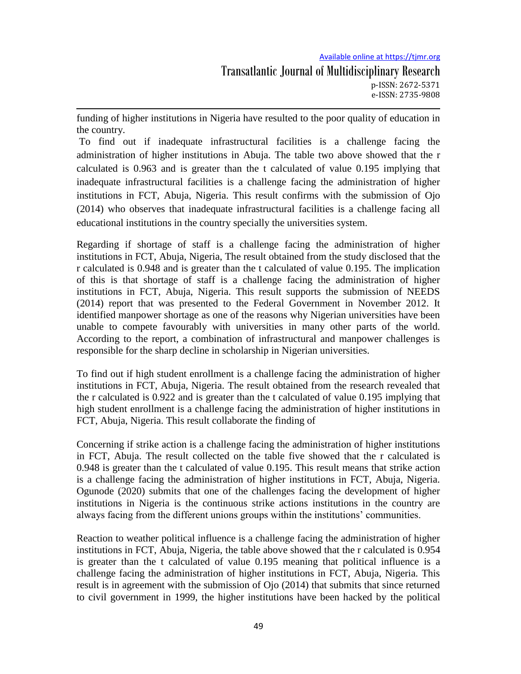funding of higher institutions in Nigeria have resulted to the poor quality of education in the country.

To find out if inadequate infrastructural facilities is a challenge facing the administration of higher institutions in Abuja. The table two above showed that the r calculated is 0.963 and is greater than the t calculated of value 0.195 implying that inadequate infrastructural facilities is a challenge facing the administration of higher institutions in FCT, Abuja, Nigeria. This result confirms with the submission of Ojo (2014) who observes that inadequate infrastructural facilities is a challenge facing all educational institutions in the country specially the universities system.

Regarding if shortage of staff is a challenge facing the administration of higher institutions in FCT, Abuja, Nigeria, The result obtained from the study disclosed that the r calculated is 0.948 and is greater than the t calculated of value 0.195. The implication of this is that shortage of staff is a challenge facing the administration of higher institutions in FCT, Abuja, Nigeria. This result supports the submission of NEEDS (2014) report that was presented to the Federal Government in November 2012. It identified manpower shortage as one of the reasons why Nigerian universities have been unable to compete favourably with universities in many other parts of the world. According to the report, a combination of infrastructural and manpower challenges is responsible for the sharp decline in scholarship in Nigerian universities.

To find out if high student enrollment is a challenge facing the administration of higher institutions in FCT, Abuja, Nigeria. The result obtained from the research revealed that the r calculated is 0.922 and is greater than the t calculated of value 0.195 implying that high student enrollment is a challenge facing the administration of higher institutions in FCT, Abuja, Nigeria. This result collaborate the finding of

Concerning if strike action is a challenge facing the administration of higher institutions in FCT, Abuja. The result collected on the table five showed that the r calculated is 0.948 is greater than the t calculated of value 0.195. This result means that strike action is a challenge facing the administration of higher institutions in FCT, Abuja, Nigeria. Ogunode (2020) submits that one of the challenges facing the development of higher institutions in Nigeria is the continuous strike actions institutions in the country are always facing from the different unions groups within the institutions" communities.

Reaction to weather political influence is a challenge facing the administration of higher institutions in FCT, Abuja, Nigeria, the table above showed that the r calculated is 0.954 is greater than the t calculated of value 0.195 meaning that political influence is a challenge facing the administration of higher institutions in FCT, Abuja, Nigeria. This result is in agreement with the submission of Ojo (2014) that submits that since returned to civil government in 1999, the higher institutions have been hacked by the political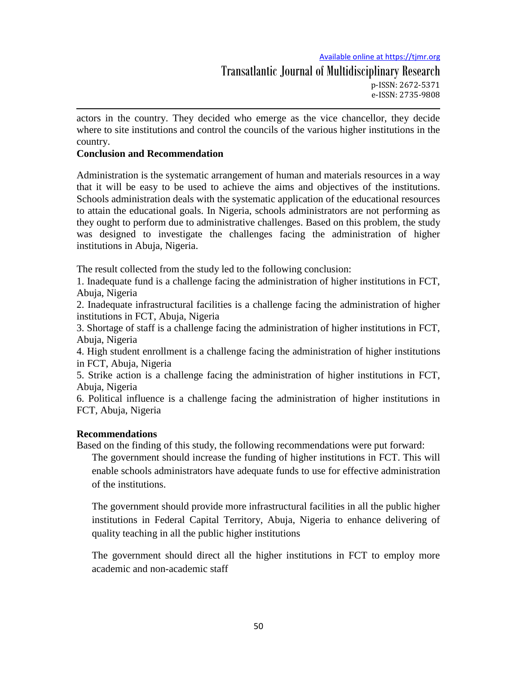Transatlantic Journal of Multidisciplinary Research p-ISSN: 2672-5371 e-ISSN: 2735-9808

actors in the country. They decided who emerge as the vice chancellor, they decide where to site institutions and control the councils of the various higher institutions in the country.

#### **Conclusion and Recommendation**

Administration is the systematic arrangement of human and materials resources in a way that it will be easy to be used to achieve the aims and objectives of the institutions. Schools administration deals with the systematic application of the educational resources to attain the educational goals. In Nigeria, schools administrators are not performing as they ought to perform due to administrative challenges. Based on this problem, the study was designed to investigate the challenges facing the administration of higher institutions in Abuja, Nigeria.

The result collected from the study led to the following conclusion:

1. Inadequate fund is a challenge facing the administration of higher institutions in FCT, Abuja, Nigeria

2. Inadequate infrastructural facilities is a challenge facing the administration of higher institutions in FCT, Abuja, Nigeria

3. Shortage of staff is a challenge facing the administration of higher institutions in FCT, Abuja, Nigeria

4. High student enrollment is a challenge facing the administration of higher institutions in FCT, Abuja, Nigeria

5. Strike action is a challenge facing the administration of higher institutions in FCT, Abuja, Nigeria

6. Political influence is a challenge facing the administration of higher institutions in FCT, Abuja, Nigeria

#### **Recommendations**

Based on the finding of this study, the following recommendations were put forward:

The government should increase the funding of higher institutions in FCT. This will enable schools administrators have adequate funds to use for effective administration of the institutions.

The government should provide more infrastructural facilities in all the public higher institutions in Federal Capital Territory, Abuja, Nigeria to enhance delivering of quality teaching in all the public higher institutions

The government should direct all the higher institutions in FCT to employ more academic and non-academic staff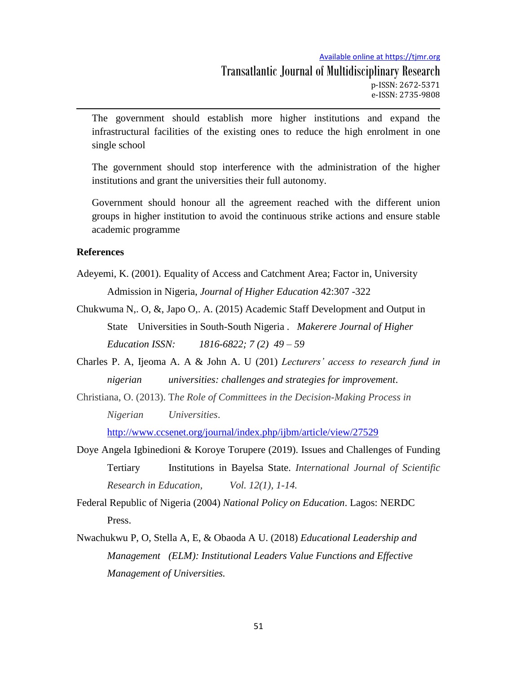The government should establish more higher institutions and expand the infrastructural facilities of the existing ones to reduce the high enrolment in one single school

The government should stop interference with the administration of the higher institutions and grant the universities their full autonomy.

Government should honour all the agreement reached with the different union groups in higher institution to avoid the continuous strike actions and ensure stable academic programme

#### **References**

- Adeyemi, K. (2001). Equality of Access and Catchment Area; Factor in, University Admission in Nigeria, *Journal of Higher Education* 42:307 -322
- Chukwuma N,. O, &, Japo O,. A. (2015) Academic Staff Development and Output in State Universities in South-South Nigeria . *Makerere Journal of Higher Education ISSN: 1816-6822; 7 (2) 49 – 59*
- Charles P. A, Ijeoma A. A & John A. U (201) *Lecturers' access to research fund in nigerian universities: challenges and strategies for improvement*.
- Christiana, O. (2013). T*he Role of Committees in the Decision-Making Process in Nigerian Universities*.

<http://www.ccsenet.org/journal/index.php/ijbm/article/view/27529>

Doye Angela Igbinedioni & Koroye Torupere (2019). Issues and Challenges of Funding Tertiary Institutions in Bayelsa State. *International Journal of Scientific Research in Education, Vol. 12(1), 1-14.*

Federal Republic of Nigeria (2004) *National Policy on Education*. Lagos: NERDC Press.

Nwachukwu P, O, Stella A, E, & Obaoda A U. (2018) *Educational Leadership and Management (ELM): Institutional Leaders Value Functions and Effective Management of Universities.*